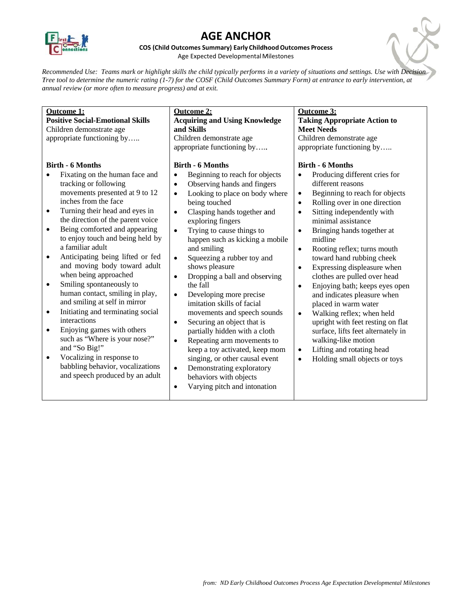

COS (Child Outcomes Summary) Early Childhood Outcomes Process Age Expected Developmental Milestones



| <b>Outcome 1:</b><br><b>Positive Social-Emotional Skills</b><br>Children demonstrate age<br>appropriate functioning by                                                                                                                                                                                                                                                                                                                                                                                                                                                                                                                                                                                                                                                                                                        | <b>Outcome 2:</b><br><b>Acquiring and Using Knowledge</b><br>and Skills<br>Children demonstrate age<br>appropriate functioning by                                                                                                                                                                                                                                                                                                                                                                                                                                                                                                                                                                                                                                                                                                                                                       | <b>Outcome 3:</b><br><b>Taking Appropriate Action to</b><br><b>Meet Needs</b><br>Children demonstrate age<br>appropriate functioning by                                                                                                                                                                                                                                                                                                                                                                                                                                                                                                                                                                                                                                                          |
|-------------------------------------------------------------------------------------------------------------------------------------------------------------------------------------------------------------------------------------------------------------------------------------------------------------------------------------------------------------------------------------------------------------------------------------------------------------------------------------------------------------------------------------------------------------------------------------------------------------------------------------------------------------------------------------------------------------------------------------------------------------------------------------------------------------------------------|-----------------------------------------------------------------------------------------------------------------------------------------------------------------------------------------------------------------------------------------------------------------------------------------------------------------------------------------------------------------------------------------------------------------------------------------------------------------------------------------------------------------------------------------------------------------------------------------------------------------------------------------------------------------------------------------------------------------------------------------------------------------------------------------------------------------------------------------------------------------------------------------|--------------------------------------------------------------------------------------------------------------------------------------------------------------------------------------------------------------------------------------------------------------------------------------------------------------------------------------------------------------------------------------------------------------------------------------------------------------------------------------------------------------------------------------------------------------------------------------------------------------------------------------------------------------------------------------------------------------------------------------------------------------------------------------------------|
| <b>Birth - 6 Months</b><br>Fixating on the human face and<br>tracking or following<br>movements presented at 9 to 12<br>inches from the face<br>Turning their head and eyes in<br>$\bullet$<br>the direction of the parent voice<br>Being comforted and appearing<br>$\bullet$<br>to enjoy touch and being held by<br>a familiar adult<br>Anticipating being lifted or fed<br>$\bullet$<br>and moving body toward adult<br>when being approached<br>Smiling spontaneously to<br>٠<br>human contact, smiling in play,<br>and smiling at self in mirror<br>Initiating and terminating social<br>٠<br>interactions<br>Enjoying games with others<br>$\bullet$<br>such as "Where is your nose?"<br>and "So Big!"<br>Vocalizing in response to<br>$\bullet$<br>babbling behavior, vocalizations<br>and speech produced by an adult | <b>Birth - 6 Months</b><br>Beginning to reach for objects<br>$\bullet$<br>Observing hands and fingers<br>$\bullet$<br>Looking to place on body where<br>$\bullet$<br>being touched<br>Clasping hands together and<br>$\bullet$<br>exploring fingers<br>Trying to cause things to<br>$\bullet$<br>happen such as kicking a mobile<br>and smiling<br>Squeezing a rubber toy and<br>$\bullet$<br>shows pleasure<br>Dropping a ball and observing<br>$\bullet$<br>the fall<br>Developing more precise<br>$\bullet$<br>imitation skills of facial<br>movements and speech sounds<br>Securing an object that is<br>$\bullet$<br>partially hidden with a cloth<br>Repeating arm movements to<br>$\bullet$<br>keep a toy activated, keep mom<br>singing, or other causal event<br>Demonstrating exploratory<br>$\bullet$<br>behaviors with objects<br>Varying pitch and intonation<br>$\bullet$ | <b>Birth - 6 Months</b><br>Producing different cries for<br>different reasons<br>Beginning to reach for objects<br>$\bullet$<br>Rolling over in one direction<br>$\bullet$<br>Sitting independently with<br>$\bullet$<br>minimal assistance<br>Bringing hands together at<br>$\bullet$<br>midline<br>Rooting reflex; turns mouth<br>$\bullet$<br>toward hand rubbing cheek<br>Expressing displeasure when<br>$\bullet$<br>clothes are pulled over head<br>Enjoying bath; keeps eyes open<br>$\bullet$<br>and indicates pleasure when<br>placed in warm water<br>Walking reflex; when held<br>$\bullet$<br>upright with feet resting on flat<br>surface, lifts feet alternately in<br>walking-like motion<br>Lifting and rotating head<br>$\bullet$<br>Holding small objects or toys<br>$\bullet$ |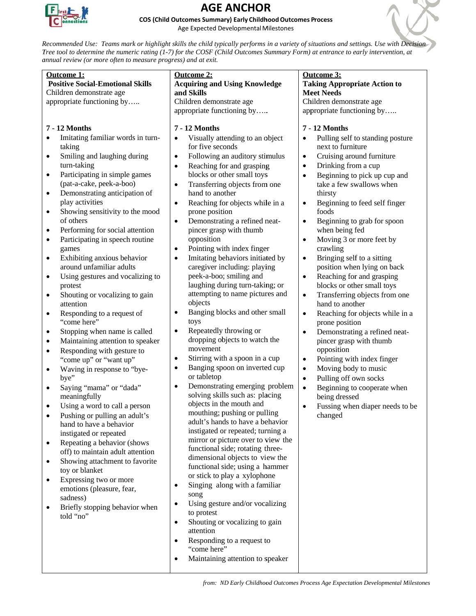

COS (Child Outcomes Summary) Early Childhood Outcomes Process Age Expected Developmental Milestones



| Outcome 1:<br><b>Positive Social-Emotional Skills</b><br>Children demonstrate age<br>appropriate functioning by                                                                                                                                                                                                                                                                                                                                                                                                                                                                                                                                                                                                                                                                                                                                                                                                                                                                                                                                                                                                                                                                                                                                                                                                                                                                                                    | <b>Outcome 2:</b><br><b>Acquiring and Using Knowledge</b><br>and Skills<br>Children demonstrate age<br>appropriate functioning by                                                                                                                                                                                                                                                                                                                                                                                                                                                                                                                                                                                                                                                                                                                                                                                                                                                                                                                                                                                                                                                                                                                                                                                                                                                                                                                                                                                                                                                                                                   | <b>Outcome 3:</b><br><b>Taking Appropriate Action to</b><br><b>Meet Needs</b><br>Children demonstrate age<br>appropriate functioning by                                                                                                                                                                                                                                                                                                                                                                                                                                                                                                                                                                                                                                                                                                                                                                                                                                                                                                                  |
|--------------------------------------------------------------------------------------------------------------------------------------------------------------------------------------------------------------------------------------------------------------------------------------------------------------------------------------------------------------------------------------------------------------------------------------------------------------------------------------------------------------------------------------------------------------------------------------------------------------------------------------------------------------------------------------------------------------------------------------------------------------------------------------------------------------------------------------------------------------------------------------------------------------------------------------------------------------------------------------------------------------------------------------------------------------------------------------------------------------------------------------------------------------------------------------------------------------------------------------------------------------------------------------------------------------------------------------------------------------------------------------------------------------------|-------------------------------------------------------------------------------------------------------------------------------------------------------------------------------------------------------------------------------------------------------------------------------------------------------------------------------------------------------------------------------------------------------------------------------------------------------------------------------------------------------------------------------------------------------------------------------------------------------------------------------------------------------------------------------------------------------------------------------------------------------------------------------------------------------------------------------------------------------------------------------------------------------------------------------------------------------------------------------------------------------------------------------------------------------------------------------------------------------------------------------------------------------------------------------------------------------------------------------------------------------------------------------------------------------------------------------------------------------------------------------------------------------------------------------------------------------------------------------------------------------------------------------------------------------------------------------------------------------------------------------------|----------------------------------------------------------------------------------------------------------------------------------------------------------------------------------------------------------------------------------------------------------------------------------------------------------------------------------------------------------------------------------------------------------------------------------------------------------------------------------------------------------------------------------------------------------------------------------------------------------------------------------------------------------------------------------------------------------------------------------------------------------------------------------------------------------------------------------------------------------------------------------------------------------------------------------------------------------------------------------------------------------------------------------------------------------|
| 7 - 12 Months<br>Imitating familiar words in turn-<br>$\bullet$<br>taking<br>Smiling and laughing during<br>$\bullet$<br>turn-taking<br>Participating in simple games<br>$\bullet$<br>(pat-a-cake, peek-a-boo)<br>Demonstrating anticipation of<br>$\bullet$<br>play activities<br>Showing sensitivity to the mood<br>$\bullet$<br>of others<br>Performing for social attention<br>$\bullet$<br>Participating in speech routine<br>$\bullet$<br>games<br>Exhibiting anxious behavior<br>$\bullet$<br>around unfamiliar adults<br>Using gestures and vocalizing to<br>$\bullet$<br>protest<br>Shouting or vocalizing to gain<br>$\bullet$<br>attention<br>Responding to a request of<br>$\bullet$<br>"come here"<br>Stopping when name is called<br>$\bullet$<br>Maintaining attention to speaker<br>$\bullet$<br>Responding with gesture to<br>$\bullet$<br>"come up" or "want up"<br>Waving in response to "bye-<br>$\bullet$<br>bye"<br>Saying "mama" or "dada"<br>$\bullet$<br>meaningfully<br>Using a word to call a person<br>$\bullet$<br>Pushing or pulling an adult's<br>hand to have a behavior<br>instigated or repeated<br>Repeating a behavior (shows<br>$\bullet$<br>off) to maintain adult attention<br>Showing attachment to favorite<br>$\bullet$<br>toy or blanket<br>Expressing two or more<br>$\bullet$<br>emotions (pleasure, fear,<br>sadness)<br>Briefly stopping behavior when<br>told "no" | 7 - 12 Months<br>Visually attending to an object<br>$\bullet$<br>for five seconds<br>Following an auditory stimulus<br>$\bullet$<br>Reaching for and grasping<br>$\bullet$<br>blocks or other small toys<br>Transferring objects from one<br>$\bullet$<br>hand to another<br>Reaching for objects while in a<br>$\bullet$<br>prone position<br>Demonstrating a refined neat-<br>$\bullet$<br>pincer grasp with thumb<br>opposition<br>Pointing with index finger<br>$\bullet$<br>Imitating behaviors initiated by<br>$\bullet$<br>caregiver including: playing<br>peek-a-boo; smiling and<br>laughing during turn-taking; or<br>attempting to name pictures and<br>objects<br>Banging blocks and other small<br>$\bullet$<br>toys<br>Repeatedly throwing or<br>$\bullet$<br>dropping objects to watch the<br>movement<br>Stirring with a spoon in a cup<br>$\bullet$<br>Banging spoon on inverted cup<br>$\bullet$<br>or tabletop<br>Demonstrating emerging problem<br>$\bullet$<br>solving skills such as: placing<br>objects in the mouth and<br>mouthing; pushing or pulling<br>adult's hands to have a behavior<br>instigated or repeated; turning a<br>mirror or picture over to view the<br>functional side; rotating three-<br>dimensional objects to view the<br>functional side; using a hammer<br>or stick to play a xylophone<br>Singing along with a familiar<br>$\bullet$<br>song<br>Using gesture and/or vocalizing<br>$\bullet$<br>to protest<br>Shouting or vocalizing to gain<br>$\bullet$<br>attention<br>Responding to a request to<br>$\bullet$<br>"come here"<br>Maintaining attention to speaker<br>$\bullet$ | <b>7 - 12 Months</b><br>Pulling self to standing posture<br>٠<br>next to furniture<br>Cruising around furniture<br>$\bullet$<br>Drinking from a cup<br>$\bullet$<br>Beginning to pick up cup and<br>$\bullet$<br>take a few swallows when<br>thirsty<br>Beginning to feed self finger<br>$\bullet$<br>foods<br>Beginning to grab for spoon<br>$\bullet$<br>when being fed<br>Moving 3 or more feet by<br>$\bullet$<br>crawling<br>Bringing self to a sitting<br>$\bullet$<br>position when lying on back<br>Reaching for and grasping<br>$\bullet$<br>blocks or other small toys<br>Transferring objects from one<br>$\bullet$<br>hand to another<br>Reaching for objects while in a<br>$\bullet$<br>prone position<br>Demonstrating a refined neat-<br>$\bullet$<br>pincer grasp with thumb<br>opposition<br>Pointing with index finger<br>$\bullet$<br>Moving body to music<br>$\bullet$<br>Pulling off own socks<br>$\bullet$<br>Beginning to cooperate when<br>$\bullet$<br>being dressed<br>Fussing when diaper needs to be<br>$\bullet$<br>changed |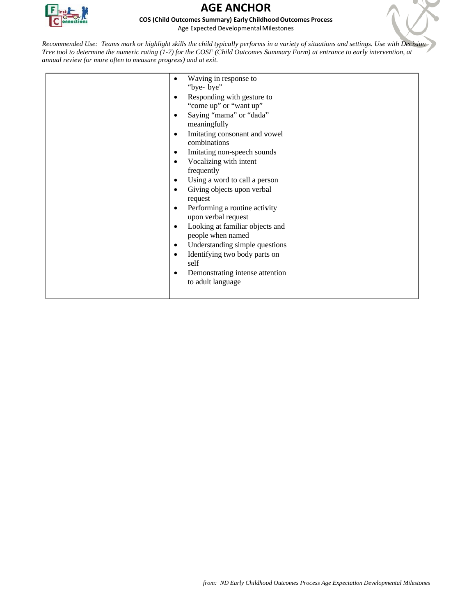

COS (Child Outcomes Summary) Early Childhood Outcomes Process Age Expected Developmental Milestones



|  | Waving in response to<br>"bye-bye"<br>Responding with gesture to<br>٠<br>"come up" or "want up"<br>Saying "mama" or "dada"<br>٠<br>meaningfully<br>Imitating consonant and vowel<br>٠<br>combinations<br>Imitating non-speech sounds<br>٠<br>Vocalizing with intent<br>$\bullet$<br>frequently<br>Using a word to call a person<br>$\bullet$<br>Giving objects upon verbal<br>$\bullet$<br>request<br>Performing a routine activity<br>٠<br>upon verbal request<br>Looking at familiar objects and<br>$\bullet$<br>people when named<br>Understanding simple questions<br>$\bullet$<br>Identifying two body parts on<br>$\bullet$<br>self<br>Demonstrating intense attention<br>٠<br>to adult language |  |
|--|--------------------------------------------------------------------------------------------------------------------------------------------------------------------------------------------------------------------------------------------------------------------------------------------------------------------------------------------------------------------------------------------------------------------------------------------------------------------------------------------------------------------------------------------------------------------------------------------------------------------------------------------------------------------------------------------------------|--|
|--|--------------------------------------------------------------------------------------------------------------------------------------------------------------------------------------------------------------------------------------------------------------------------------------------------------------------------------------------------------------------------------------------------------------------------------------------------------------------------------------------------------------------------------------------------------------------------------------------------------------------------------------------------------------------------------------------------------|--|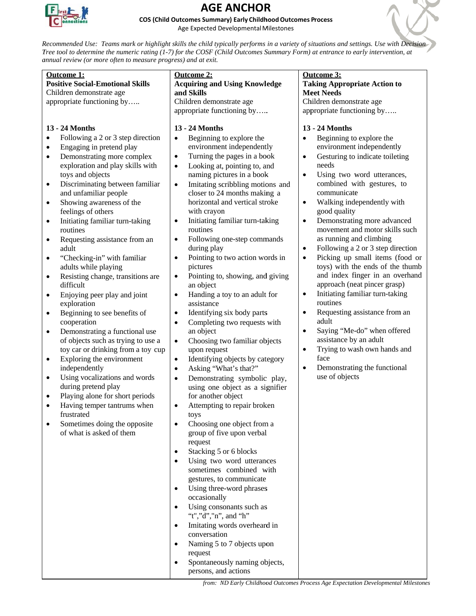

**COS (Child Ou utcomes Summa ary) Early Childh hoodOutcomes Process** Age Expected D evelopmentalM Milestones

*R Recommended U Use: Teams mark k or highlight sk kills the child typ pically performs in a variety of s ituations and se ttings. Use with Decision Tree tool to determine the numeric rating (1-7) for the COSF (Child Outcomes Summary Form) at entrance to early intervention, at* 

*annual review (or more often to measure progress) and at exit.* 

| <b>Outcome 1:</b> |  |
|-------------------|--|
|                   |  |

**Positive Social-Emotional Skills** Children demonstrate age appropriate functioning by.....

### **13 - 24 Month hs**

- Following a 2 or 3 step direction
- Engaging in pretend play
- Demonstrating more complex exploration and play skills with toys and objects
- Discriminating between familiar and unfam miliar people
- Showing awareness of the feelings of others
- Initiating familiar turn-taking routines
- Requesting assistance from an adult
- "Checking-in" with familiar adults wh hile playing
- Resisting change, transitions are difficult
- Enjoying peer play and joint exploration
- Beginning to see benefits of cooperati on
- Demonstrating a functional use of objects s such as trying g to use a toy car or drinking from a toy cup
- Exploring the environment independently
- Using vocalizations and words during pr etend play
- Playing alone for short periods
- Having temper tantrums when frustrated frustrated<br>• Sometimes doing the opposite
- of what is asked of them

#### **O Outcome 2: A Acquiring and Using Knowl edge a and Skills** C Children demon nstrate age

appropriate functioning by.....

### **1 3 - 24 Months s**

- $\bullet$ Beginning to explore the environment independently
- $\bullet$ Turning the pages in a book
- $\bullet$ Looking at, pointing to, and naming pictures in a book
- $\bullet$ naming pictures in a book<br>Imitating scribbling motions and closer to 24 months making a horizontal and vertical stroke with crayon
- $\bullet$ with crayon<br>Initiating familiar turn-taking routines
- $\bullet$ Following one-step commands during play
- $\bullet$ during play<br>Pointing to two action words in pictures
- $\bullet$ Pointing to, showing, and giving an object
- $\bullet$ Handing a toy to an adult for assistance
- $\bullet$ Identifying six body parts
- $\bullet$ Completing two requests with an object
- $\bullet$ Choosing two familiar objects upon request
- $\bullet$ Identifying objects by category
- $\bullet$ Asking "W What's that?"
- $\bullet$ Demonstrating symbolic play, using one object as a signifier for another object
- $\bullet$ Attempting to repair broken toys
- $\bullet$ Choosing one object from a group of five upon verbal request group of five upon verbal<br>request<br>Stacking 5 or 6 blocks<br>Using two word utterances
- $\bullet$ Stacking 5 or 6 blocks
- $\bullet$ sometimes combined with gestures, to communicate
- $\bullet$ Using three-word phrases occasionall ly
- $\bullet$ Using consonants such as "t","d","n", , and "h"
- $\bullet$ Imitating words overheard in conversation
- $\bullet$ Naming 5 to 7 objects upon request
- $\bullet$ Spontaneously naming objects, persons, and actions

Ξ

## **Ou utcome 3:**

**Taking Appropriate Action to Meet Needs** Ch hildren demons trate age

appropriate functioning by.....

### **13 - 24 Months**

- $\bullet$ Beginning to explore the environment independently environment independently<br>Gesturing to indicate toileting
- $\bullet$ needs
- $\bullet$ Using two word utterances, combined with gestures, to communicate
- $\bullet$ communicate<br>Walking independently with good quality
- $\bullet$ good quality<br>Demonstrating more advanced movement and motor skills such as running and climbing
- $\bullet$ Following a 2 or 3 step direction
- $\bullet$ Picking up small items (food or toys) with th he ends of the thumb and index finger in an overhand approach (neat pincer grasp)
- $\bullet$ Initiating familiar turn-taking routines
- $\bullet$ Requesting a assistance from m an adult
- $\bullet$ Saying "Me-do" when offered assistance by y an adult
- $\bullet$ Trying to wash own hands and face
- $\bullet$ Demonstrating the functional use of objects

 *from: N ND Early Childhoo od Outcomes Proc cess Age Expectati ion Developmenta l Milestones*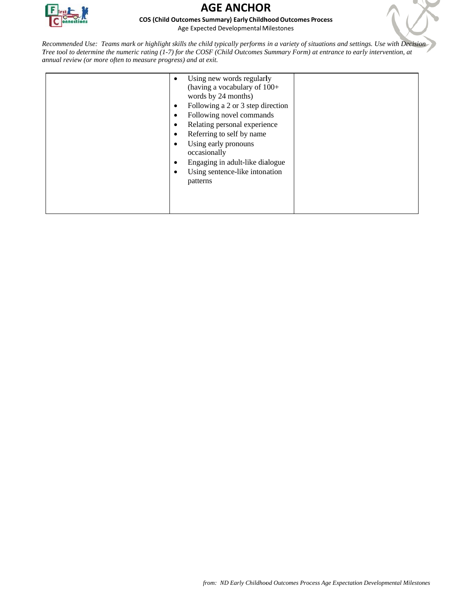

COS (Child Outcomes Summary) Early Childhood Outcomes Process Age Expected Developmental Milestones



| ٠<br>٠<br>occasionally<br>٠<br>٠<br>patterns | Using new words regularly<br>(having a vocabulary of $100+$<br>words by 24 months)<br>Following a 2 or 3 step direction<br>Following novel commands<br>Relating personal experience<br>Referring to self by name<br>Using early pronouns<br>Engaging in adult-like dialogue<br>Using sentence-like intonation |
|----------------------------------------------|---------------------------------------------------------------------------------------------------------------------------------------------------------------------------------------------------------------------------------------------------------------------------------------------------------------|
|----------------------------------------------|---------------------------------------------------------------------------------------------------------------------------------------------------------------------------------------------------------------------------------------------------------------------------------------------------------------|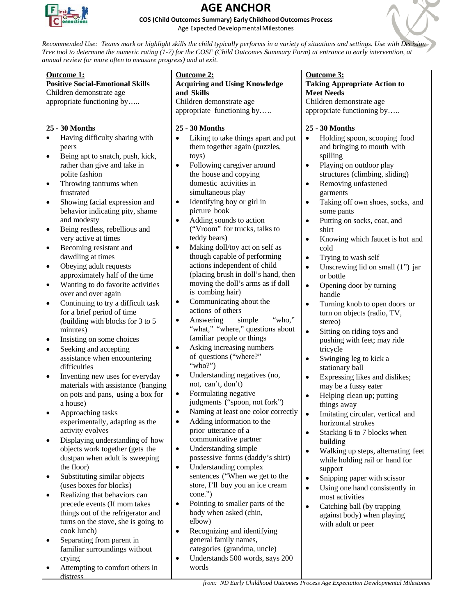

 $\bullet$ 

distress

Attempting to comfort others in

words

# **AGE ANCHOR**

COS (Child Outcomes Summary) Early Childhood Outcomes Process Age Expected Developmental Milestones



Recommended Use: Teams mark or highlight skills the child typically performs in a variety of situations and settings. Use with Decision Tree tool to determine the numeric rating (1-7) for the COSF (Child Outcomes Summary Form) at entrance to early intervention, at annual review (or more often to measure progress) and at exit.

| <b>Outcome 1:</b>                                                             | <b>Outcome 2:</b>                                                        | <b>Outcome 3:</b>                                         |
|-------------------------------------------------------------------------------|--------------------------------------------------------------------------|-----------------------------------------------------------|
| <b>Positive Social-Emotional Skills</b>                                       | <b>Acquiring and Using Knowledge</b>                                     | <b>Taking Appropriate Action to</b>                       |
| Children demonstrate age                                                      | and Skills                                                               | <b>Meet Needs</b>                                         |
| appropriate functioning by                                                    | Children demonstrate age                                                 | Children demonstrate age                                  |
|                                                                               | appropriate functioning by                                               | appropriate functioning by                                |
| 25 - 30 Months                                                                | 25 - 30 Months                                                           | 25 - 30 Months                                            |
| Having difficulty sharing with<br>٠                                           | Liking to take things apart and put<br>$\bullet$                         | Holding spoon, scooping food<br>$\bullet$                 |
| peers                                                                         | them together again (puzzles,                                            | and bringing to mouth with                                |
| Being apt to snatch, push, kick,<br>$\bullet$                                 | toys)                                                                    | spilling                                                  |
| rather than give and take in                                                  | Following caregiver around<br>$\bullet$                                  | Playing on outdoor play<br>$\bullet$                      |
| polite fashion                                                                | the house and copying                                                    | structures (climbing, sliding)                            |
| Throwing tantrums when<br>$\bullet$                                           | domestic activities in                                                   | Removing unfastened<br>$\bullet$                          |
| frustrated                                                                    | simultaneous play                                                        | garments                                                  |
| Showing facial expression and<br>$\bullet$                                    | Identifying boy or girl in<br>٠                                          | Taking off own shoes, socks, and<br>$\bullet$             |
| behavior indicating pity, shame                                               | picture book                                                             | some pants                                                |
| and modesty                                                                   | Adding sounds to action<br>$\bullet$                                     | Putting on socks, coat, and<br>$\bullet$                  |
| Being restless, rebellious and<br>$\bullet$                                   | ("Vroom" for trucks, talks to                                            | shirt                                                     |
| very active at times                                                          | teddy bears)                                                             | Knowing which faucet is hot and<br>$\bullet$              |
| Becoming resistant and<br>$\bullet$                                           | Making doll/toy act on self as                                           | cold                                                      |
| dawdling at times                                                             | though capable of performing                                             | Trying to wash self<br>$\bullet$                          |
| Obeying adult requests<br>$\bullet$                                           | actions independent of child                                             | Unscrewing lid on small (1") jar<br>$\bullet$             |
| approximately half of the time                                                | (placing brush in doll's hand, then<br>moving the doll's arms as if doll | or bottle                                                 |
| Wanting to do favorite activities<br>$\bullet$                                | is combing hair)                                                         | Opening door by turning<br>$\bullet$                      |
| over and over again                                                           | Communicating about the<br>$\bullet$                                     | handle                                                    |
| Continuing to try a difficult task<br>$\bullet$<br>for a brief period of time | actions of others                                                        | Turning knob to open doors or<br>$\bullet$                |
| (building with blocks for 3 to 5                                              | Answering<br>simple<br>"who,"<br>$\bullet$                               | turn on objects (radio, TV,                               |
| minutes)                                                                      | "what," "where," questions about                                         | stereo)<br>$\bullet$                                      |
| Insisting on some choices<br>$\bullet$                                        | familiar people or things                                                | Sitting on riding toys and<br>pushing with feet; may ride |
| Seeking and accepting<br>$\bullet$                                            | Asking increasing numbers<br>$\bullet$                                   | tricycle                                                  |
| assistance when encountering                                                  | of questions ("where?"                                                   | Swinging leg to kick a<br>٠                               |
| difficulties                                                                  | "who?")                                                                  | stationary ball                                           |
| Inventing new uses for everyday<br>$\bullet$                                  | Understanding negatives (no,<br>$\bullet$                                | Expressing likes and dislikes;<br>$\bullet$               |
| materials with assistance (banging                                            | not, can't, don't)                                                       | may be a fussy eater                                      |
| on pots and pans, using a box for                                             | Formulating negative<br>٠                                                | Helping clean up; putting<br>$\bullet$                    |
| a house)                                                                      | judgments ("spoon, not fork")                                            | things away                                               |
| Approaching tasks<br>$\bullet$                                                | Naming at least one color correctly                                      | $\bullet$<br>Imitating circular, vertical and             |
| experimentally, adapting as the                                               | Adding information to the<br>٠                                           | horizontal strokes                                        |
| activity evolves                                                              | prior utterance of a                                                     | Stacking 6 to 7 blocks when<br>$\bullet$                  |
| Displaying understanding of how<br>$\bullet$                                  | communicative partner                                                    | building                                                  |
| objects work together (gets the                                               | Understanding simple<br>٠                                                | Walking up steps, alternating feet<br>$\bullet$           |
| dustpan when adult is sweeping                                                | possessive forms (daddy's shirt)                                         | while holding rail or hand for                            |
| the floor)                                                                    | Understanding complex<br>$\bullet$                                       | support                                                   |
| Substituting similar objects<br>٠                                             | sentences ("When we get to the                                           | Snipping paper with scissor<br>$\bullet$                  |
| (uses boxes for blocks)                                                       | store, I'll buy you an ice cream<br>cone.")                              | Using one hand consistently in<br>$\bullet$               |
| Realizing that behaviors can<br>$\bullet$                                     | Pointing to smaller parts of the<br>$\bullet$                            | most activities                                           |
| precede events (If mom takes<br>things out of the refrigerator and            | body when asked (chin,                                                   | Catching ball (by trapping<br>$\bullet$                   |
| turns on the stove, she is going to                                           | elbow)                                                                   | against body) when playing                                |
| cook lunch)                                                                   | Recognizing and identifying<br>$\bullet$                                 | with adult or peer                                        |
| Separating from parent in<br>$\bullet$                                        | general family names,                                                    |                                                           |
| familiar surroundings without                                                 | categories (grandma, uncle)                                              |                                                           |
| crying                                                                        | Understands 500 words, says 200                                          |                                                           |

from: ND Early Childhood Outcomes Process Age Expectation Developmental Milestones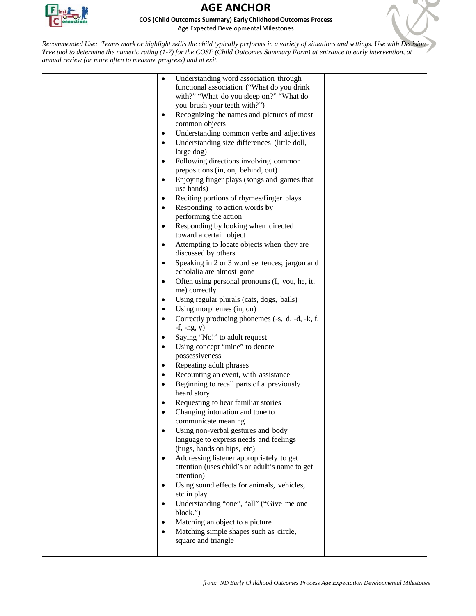

**COS (Child Ou utcomes Summa ary) Early Childh hoodOutcomes Process** Age Expected D evelopmentalM Milestones



| Understanding word association through<br>functional association ("What do you drink<br>with?" "What do you sleep on?" "What do<br>you brush your teeth with?")<br>Recognizing the names and pictures of most<br>$\bullet$<br>common objects<br>Understanding common verbs and adjectives<br>$\bullet$<br>Understanding size differences (little doll,<br>$\bullet$<br>large dog)<br>Following directions involving common<br>$\bullet$<br>prepositions (in, on, behind, out)<br>Enjoying finger plays (songs and games that<br>$\bullet$<br>use hands)<br>Reciting portions of rhymes/finger plays<br>$\bullet$<br>Responding to action words by<br>$\bullet$<br>performing the action<br>Responding by looking when directed<br>$\bullet$<br>toward a certain object<br>Attempting to locate objects when they are<br>$\bullet$<br>discussed by others<br>Speaking in 2 or 3 word sentences; jargon and<br>$\bullet$<br>echolalia are almost gone<br>Often using personal pronouns (I, you, he, it,<br>$\bullet$<br>me) correctly<br>Using regular plurals (cats, dogs, balls)<br>$\bullet$<br>Using morphemes (in, on)<br>$\bullet$<br>Correctly producing phonemes (-s, d, -d, -k, f,<br>$\bullet$<br>$-f, -ng, y)$<br>Saying "No!" to adult request<br>$\bullet$<br>Using concept "mine" to denote<br>$\bullet$<br>possessiveness<br>Repeating adult phrases<br>$\bullet$<br>Recounting an event, with assistance<br>٠<br>Beginning to recall parts of a previously<br>heard story<br>Requesting to hear familiar stories<br>٠<br>Changing intonation and tone to<br>$\bullet$<br>communicate meaning<br>Using non-verbal gestures and body<br>$\bullet$<br>language to express needs and feelings |  |
|---------------------------------------------------------------------------------------------------------------------------------------------------------------------------------------------------------------------------------------------------------------------------------------------------------------------------------------------------------------------------------------------------------------------------------------------------------------------------------------------------------------------------------------------------------------------------------------------------------------------------------------------------------------------------------------------------------------------------------------------------------------------------------------------------------------------------------------------------------------------------------------------------------------------------------------------------------------------------------------------------------------------------------------------------------------------------------------------------------------------------------------------------------------------------------------------------------------------------------------------------------------------------------------------------------------------------------------------------------------------------------------------------------------------------------------------------------------------------------------------------------------------------------------------------------------------------------------------------------------------------------------------------------------------------------------------------------|--|
|                                                                                                                                                                                                                                                                                                                                                                                                                                                                                                                                                                                                                                                                                                                                                                                                                                                                                                                                                                                                                                                                                                                                                                                                                                                                                                                                                                                                                                                                                                                                                                                                                                                                                                         |  |
|                                                                                                                                                                                                                                                                                                                                                                                                                                                                                                                                                                                                                                                                                                                                                                                                                                                                                                                                                                                                                                                                                                                                                                                                                                                                                                                                                                                                                                                                                                                                                                                                                                                                                                         |  |
|                                                                                                                                                                                                                                                                                                                                                                                                                                                                                                                                                                                                                                                                                                                                                                                                                                                                                                                                                                                                                                                                                                                                                                                                                                                                                                                                                                                                                                                                                                                                                                                                                                                                                                         |  |
|                                                                                                                                                                                                                                                                                                                                                                                                                                                                                                                                                                                                                                                                                                                                                                                                                                                                                                                                                                                                                                                                                                                                                                                                                                                                                                                                                                                                                                                                                                                                                                                                                                                                                                         |  |
|                                                                                                                                                                                                                                                                                                                                                                                                                                                                                                                                                                                                                                                                                                                                                                                                                                                                                                                                                                                                                                                                                                                                                                                                                                                                                                                                                                                                                                                                                                                                                                                                                                                                                                         |  |
|                                                                                                                                                                                                                                                                                                                                                                                                                                                                                                                                                                                                                                                                                                                                                                                                                                                                                                                                                                                                                                                                                                                                                                                                                                                                                                                                                                                                                                                                                                                                                                                                                                                                                                         |  |
|                                                                                                                                                                                                                                                                                                                                                                                                                                                                                                                                                                                                                                                                                                                                                                                                                                                                                                                                                                                                                                                                                                                                                                                                                                                                                                                                                                                                                                                                                                                                                                                                                                                                                                         |  |
|                                                                                                                                                                                                                                                                                                                                                                                                                                                                                                                                                                                                                                                                                                                                                                                                                                                                                                                                                                                                                                                                                                                                                                                                                                                                                                                                                                                                                                                                                                                                                                                                                                                                                                         |  |
|                                                                                                                                                                                                                                                                                                                                                                                                                                                                                                                                                                                                                                                                                                                                                                                                                                                                                                                                                                                                                                                                                                                                                                                                                                                                                                                                                                                                                                                                                                                                                                                                                                                                                                         |  |
|                                                                                                                                                                                                                                                                                                                                                                                                                                                                                                                                                                                                                                                                                                                                                                                                                                                                                                                                                                                                                                                                                                                                                                                                                                                                                                                                                                                                                                                                                                                                                                                                                                                                                                         |  |
|                                                                                                                                                                                                                                                                                                                                                                                                                                                                                                                                                                                                                                                                                                                                                                                                                                                                                                                                                                                                                                                                                                                                                                                                                                                                                                                                                                                                                                                                                                                                                                                                                                                                                                         |  |
|                                                                                                                                                                                                                                                                                                                                                                                                                                                                                                                                                                                                                                                                                                                                                                                                                                                                                                                                                                                                                                                                                                                                                                                                                                                                                                                                                                                                                                                                                                                                                                                                                                                                                                         |  |
|                                                                                                                                                                                                                                                                                                                                                                                                                                                                                                                                                                                                                                                                                                                                                                                                                                                                                                                                                                                                                                                                                                                                                                                                                                                                                                                                                                                                                                                                                                                                                                                                                                                                                                         |  |
|                                                                                                                                                                                                                                                                                                                                                                                                                                                                                                                                                                                                                                                                                                                                                                                                                                                                                                                                                                                                                                                                                                                                                                                                                                                                                                                                                                                                                                                                                                                                                                                                                                                                                                         |  |
|                                                                                                                                                                                                                                                                                                                                                                                                                                                                                                                                                                                                                                                                                                                                                                                                                                                                                                                                                                                                                                                                                                                                                                                                                                                                                                                                                                                                                                                                                                                                                                                                                                                                                                         |  |
|                                                                                                                                                                                                                                                                                                                                                                                                                                                                                                                                                                                                                                                                                                                                                                                                                                                                                                                                                                                                                                                                                                                                                                                                                                                                                                                                                                                                                                                                                                                                                                                                                                                                                                         |  |
|                                                                                                                                                                                                                                                                                                                                                                                                                                                                                                                                                                                                                                                                                                                                                                                                                                                                                                                                                                                                                                                                                                                                                                                                                                                                                                                                                                                                                                                                                                                                                                                                                                                                                                         |  |
|                                                                                                                                                                                                                                                                                                                                                                                                                                                                                                                                                                                                                                                                                                                                                                                                                                                                                                                                                                                                                                                                                                                                                                                                                                                                                                                                                                                                                                                                                                                                                                                                                                                                                                         |  |
|                                                                                                                                                                                                                                                                                                                                                                                                                                                                                                                                                                                                                                                                                                                                                                                                                                                                                                                                                                                                                                                                                                                                                                                                                                                                                                                                                                                                                                                                                                                                                                                                                                                                                                         |  |
|                                                                                                                                                                                                                                                                                                                                                                                                                                                                                                                                                                                                                                                                                                                                                                                                                                                                                                                                                                                                                                                                                                                                                                                                                                                                                                                                                                                                                                                                                                                                                                                                                                                                                                         |  |
|                                                                                                                                                                                                                                                                                                                                                                                                                                                                                                                                                                                                                                                                                                                                                                                                                                                                                                                                                                                                                                                                                                                                                                                                                                                                                                                                                                                                                                                                                                                                                                                                                                                                                                         |  |
|                                                                                                                                                                                                                                                                                                                                                                                                                                                                                                                                                                                                                                                                                                                                                                                                                                                                                                                                                                                                                                                                                                                                                                                                                                                                                                                                                                                                                                                                                                                                                                                                                                                                                                         |  |
|                                                                                                                                                                                                                                                                                                                                                                                                                                                                                                                                                                                                                                                                                                                                                                                                                                                                                                                                                                                                                                                                                                                                                                                                                                                                                                                                                                                                                                                                                                                                                                                                                                                                                                         |  |
|                                                                                                                                                                                                                                                                                                                                                                                                                                                                                                                                                                                                                                                                                                                                                                                                                                                                                                                                                                                                                                                                                                                                                                                                                                                                                                                                                                                                                                                                                                                                                                                                                                                                                                         |  |
|                                                                                                                                                                                                                                                                                                                                                                                                                                                                                                                                                                                                                                                                                                                                                                                                                                                                                                                                                                                                                                                                                                                                                                                                                                                                                                                                                                                                                                                                                                                                                                                                                                                                                                         |  |
|                                                                                                                                                                                                                                                                                                                                                                                                                                                                                                                                                                                                                                                                                                                                                                                                                                                                                                                                                                                                                                                                                                                                                                                                                                                                                                                                                                                                                                                                                                                                                                                                                                                                                                         |  |
|                                                                                                                                                                                                                                                                                                                                                                                                                                                                                                                                                                                                                                                                                                                                                                                                                                                                                                                                                                                                                                                                                                                                                                                                                                                                                                                                                                                                                                                                                                                                                                                                                                                                                                         |  |
|                                                                                                                                                                                                                                                                                                                                                                                                                                                                                                                                                                                                                                                                                                                                                                                                                                                                                                                                                                                                                                                                                                                                                                                                                                                                                                                                                                                                                                                                                                                                                                                                                                                                                                         |  |
|                                                                                                                                                                                                                                                                                                                                                                                                                                                                                                                                                                                                                                                                                                                                                                                                                                                                                                                                                                                                                                                                                                                                                                                                                                                                                                                                                                                                                                                                                                                                                                                                                                                                                                         |  |
|                                                                                                                                                                                                                                                                                                                                                                                                                                                                                                                                                                                                                                                                                                                                                                                                                                                                                                                                                                                                                                                                                                                                                                                                                                                                                                                                                                                                                                                                                                                                                                                                                                                                                                         |  |
|                                                                                                                                                                                                                                                                                                                                                                                                                                                                                                                                                                                                                                                                                                                                                                                                                                                                                                                                                                                                                                                                                                                                                                                                                                                                                                                                                                                                                                                                                                                                                                                                                                                                                                         |  |
|                                                                                                                                                                                                                                                                                                                                                                                                                                                                                                                                                                                                                                                                                                                                                                                                                                                                                                                                                                                                                                                                                                                                                                                                                                                                                                                                                                                                                                                                                                                                                                                                                                                                                                         |  |
|                                                                                                                                                                                                                                                                                                                                                                                                                                                                                                                                                                                                                                                                                                                                                                                                                                                                                                                                                                                                                                                                                                                                                                                                                                                                                                                                                                                                                                                                                                                                                                                                                                                                                                         |  |
|                                                                                                                                                                                                                                                                                                                                                                                                                                                                                                                                                                                                                                                                                                                                                                                                                                                                                                                                                                                                                                                                                                                                                                                                                                                                                                                                                                                                                                                                                                                                                                                                                                                                                                         |  |
|                                                                                                                                                                                                                                                                                                                                                                                                                                                                                                                                                                                                                                                                                                                                                                                                                                                                                                                                                                                                                                                                                                                                                                                                                                                                                                                                                                                                                                                                                                                                                                                                                                                                                                         |  |
|                                                                                                                                                                                                                                                                                                                                                                                                                                                                                                                                                                                                                                                                                                                                                                                                                                                                                                                                                                                                                                                                                                                                                                                                                                                                                                                                                                                                                                                                                                                                                                                                                                                                                                         |  |
|                                                                                                                                                                                                                                                                                                                                                                                                                                                                                                                                                                                                                                                                                                                                                                                                                                                                                                                                                                                                                                                                                                                                                                                                                                                                                                                                                                                                                                                                                                                                                                                                                                                                                                         |  |
|                                                                                                                                                                                                                                                                                                                                                                                                                                                                                                                                                                                                                                                                                                                                                                                                                                                                                                                                                                                                                                                                                                                                                                                                                                                                                                                                                                                                                                                                                                                                                                                                                                                                                                         |  |
|                                                                                                                                                                                                                                                                                                                                                                                                                                                                                                                                                                                                                                                                                                                                                                                                                                                                                                                                                                                                                                                                                                                                                                                                                                                                                                                                                                                                                                                                                                                                                                                                                                                                                                         |  |
|                                                                                                                                                                                                                                                                                                                                                                                                                                                                                                                                                                                                                                                                                                                                                                                                                                                                                                                                                                                                                                                                                                                                                                                                                                                                                                                                                                                                                                                                                                                                                                                                                                                                                                         |  |
| (hugs, hands on hips, etc)                                                                                                                                                                                                                                                                                                                                                                                                                                                                                                                                                                                                                                                                                                                                                                                                                                                                                                                                                                                                                                                                                                                                                                                                                                                                                                                                                                                                                                                                                                                                                                                                                                                                              |  |
| Addressing listener appropriately to get<br>$\bullet$                                                                                                                                                                                                                                                                                                                                                                                                                                                                                                                                                                                                                                                                                                                                                                                                                                                                                                                                                                                                                                                                                                                                                                                                                                                                                                                                                                                                                                                                                                                                                                                                                                                   |  |
| attention (uses child's or adult's name to get                                                                                                                                                                                                                                                                                                                                                                                                                                                                                                                                                                                                                                                                                                                                                                                                                                                                                                                                                                                                                                                                                                                                                                                                                                                                                                                                                                                                                                                                                                                                                                                                                                                          |  |
| attention)                                                                                                                                                                                                                                                                                                                                                                                                                                                                                                                                                                                                                                                                                                                                                                                                                                                                                                                                                                                                                                                                                                                                                                                                                                                                                                                                                                                                                                                                                                                                                                                                                                                                                              |  |
| Using sound effects for animals, vehicles,<br>$\bullet$                                                                                                                                                                                                                                                                                                                                                                                                                                                                                                                                                                                                                                                                                                                                                                                                                                                                                                                                                                                                                                                                                                                                                                                                                                                                                                                                                                                                                                                                                                                                                                                                                                                 |  |
| etc in play                                                                                                                                                                                                                                                                                                                                                                                                                                                                                                                                                                                                                                                                                                                                                                                                                                                                                                                                                                                                                                                                                                                                                                                                                                                                                                                                                                                                                                                                                                                                                                                                                                                                                             |  |
| Understanding "one", "all" ("Give me one<br>$\bullet$                                                                                                                                                                                                                                                                                                                                                                                                                                                                                                                                                                                                                                                                                                                                                                                                                                                                                                                                                                                                                                                                                                                                                                                                                                                                                                                                                                                                                                                                                                                                                                                                                                                   |  |
| block.")                                                                                                                                                                                                                                                                                                                                                                                                                                                                                                                                                                                                                                                                                                                                                                                                                                                                                                                                                                                                                                                                                                                                                                                                                                                                                                                                                                                                                                                                                                                                                                                                                                                                                                |  |
| Matching an object to a picture<br>$\bullet$                                                                                                                                                                                                                                                                                                                                                                                                                                                                                                                                                                                                                                                                                                                                                                                                                                                                                                                                                                                                                                                                                                                                                                                                                                                                                                                                                                                                                                                                                                                                                                                                                                                            |  |
| Matching simple shapes such as circle,<br>٠                                                                                                                                                                                                                                                                                                                                                                                                                                                                                                                                                                                                                                                                                                                                                                                                                                                                                                                                                                                                                                                                                                                                                                                                                                                                                                                                                                                                                                                                                                                                                                                                                                                             |  |
| square and triangle                                                                                                                                                                                                                                                                                                                                                                                                                                                                                                                                                                                                                                                                                                                                                                                                                                                                                                                                                                                                                                                                                                                                                                                                                                                                                                                                                                                                                                                                                                                                                                                                                                                                                     |  |
|                                                                                                                                                                                                                                                                                                                                                                                                                                                                                                                                                                                                                                                                                                                                                                                                                                                                                                                                                                                                                                                                                                                                                                                                                                                                                                                                                                                                                                                                                                                                                                                                                                                                                                         |  |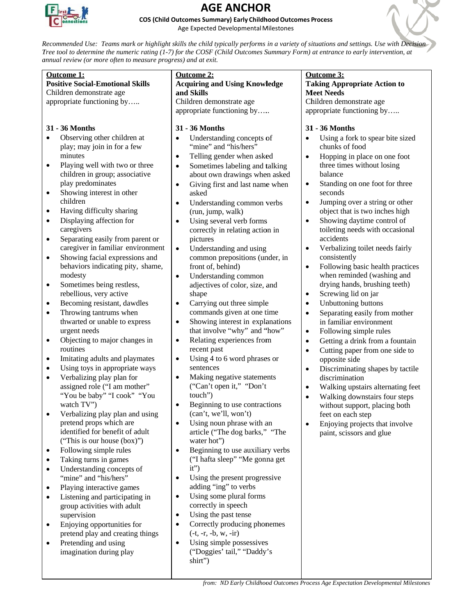

COS (Child Outcomes Summary) Early Childhood Outcomes Process Age Expected Developmental Milestones



### **Outcome 1:**

**Positive Social-Emotional Skills** Children demonstrate age appropriate functioning by.....

#### 31 - 36 Months

- Observing other children at  $\bullet$ play; may join in for a few minutes
- $\bullet$ Playing well with two or three children in group; associative play predominates
- $\bullet$ Showing interest in other children
- Having difficulty sharing  $\bullet$
- Displaying affection for  $\bullet$ caregivers
- $\bullet$ Separating easily from parent or caregiver in familiar environment
- Showing facial expressions and  $\bullet$ behaviors indicating pity, shame, modesty
- $\bullet$ Sometimes being restless, rebellious, very active
- $\bullet$ Becoming resistant, dawdles
- Throwing tantrums when  $\bullet$ thwarted or unable to express urgent needs
- $\bullet$ Objecting to major changes in routines
- $\bullet$ Imitating adults and playmates
- Using toys in appropriate ways
- Verbalizing play plan for assigned role ("I am mother" "You be baby" "I cook" "You watch TV")
- $\bullet$ Verbalizing play plan and using pretend props which are identified for benefit of adult ("This is our house  $(box)$ ")
- Following simple rules  $\bullet$
- Taking turns in games
- $\bullet$ Understanding concepts of "mine" and "his/hers"
- Playing interactive games  $\bullet$
- Listening and participating in  $\bullet$ group activities with adult supervision
- $\bullet$ Enjoying opportunities for pretend play and creating things
- Pretending and using  $\bullet$ imagination during play

### **Outcome 2:**

**Acquiring and Using Knowledge** and Skills Children demonstrate age

appropriate functioning by.....

#### 31 - 36 Months

- Understanding concepts of  $\bullet$ "mine" and "his/hers"
- $\bullet$ Telling gender when asked
- Sometimes labeling and talking about own drawings when asked
- $\bullet$ Giving first and last name when asked
- Understanding common verbs  $\bullet$ (run, jump, walk)
- $\bullet$ Using several verb forms correctly in relating action in pictures
- $\bullet$ Understanding and using common prepositions (under, in front of, behind)
- $\bullet$ Understanding common adjectives of color, size, and shape
- $\bullet$ Carrying out three simple commands given at one time
- Showing interest in explanations  $\bullet$ that involve "why" and "how"
- $\bullet$ Relating experiences from recent past
- $\bullet$ Using 4 to 6 word phrases or sentences
- Making negative statements  $\bullet$ ("Can't open it," "Don't touch")
- $\bullet$ Beginning to use contractions  $(can't, we'll, won't)$
- $\bullet$ Using noun phrase with an article ("The dog barks," "The water hot")
- Beginning to use auxiliary verbs  $\bullet$ ("I hafta sleep" "Me gonna get  $it'$
- $\bullet$ Using the present progressive adding "ing" to verbs
- $\bullet$ Using some plural forms correctly in speech
- Using the past tense  $\bullet$
- Correctly producing phonemes  $(-t, -r, -b, w, -ir)$
- Using simple possessives ("Doggies' tail," "Daddy's shirt")

### Outcome 3:

#### **Taking Appropriate Action to Meet Needs**

Children demonstrate age appropriate functioning by.....

### 31 - 36 Months

- Using a fork to spear bite sized  $\bullet$ chunks of food
- $\bullet$ Hopping in place on one foot three times without losing balance
- $\bullet$ Standing on one foot for three seconds
- Jumping over a string or other  $\bullet$ object that is two inches high
- Showing daytime control of  $\bullet$ toileting needs with occasional accidents
- Verbalizing toilet needs fairly  $\bullet$ consistently
- Following basic health practices  $\bullet$ when reminded (washing and drying hands, brushing teeth)
- $\bullet$ Screwing lid on jar
- Unbuttoning buttons  $\bullet$
- Separating easily from mother  $\bullet$ in familiar environment
- Following simple rules  $\bullet$
- $\bullet$ Getting a drink from a fountain
- Cutting paper from one side to  $\bullet$ opposite side
- Discriminating shapes by tactile  $\bullet$ discrimination
- $\bullet$ Walking upstairs alternating feet
- $\bullet$ Walking downstairs four steps without support, placing both feet on each step
- $\bullet$ Enjoying projects that involve paint, scissors and glue